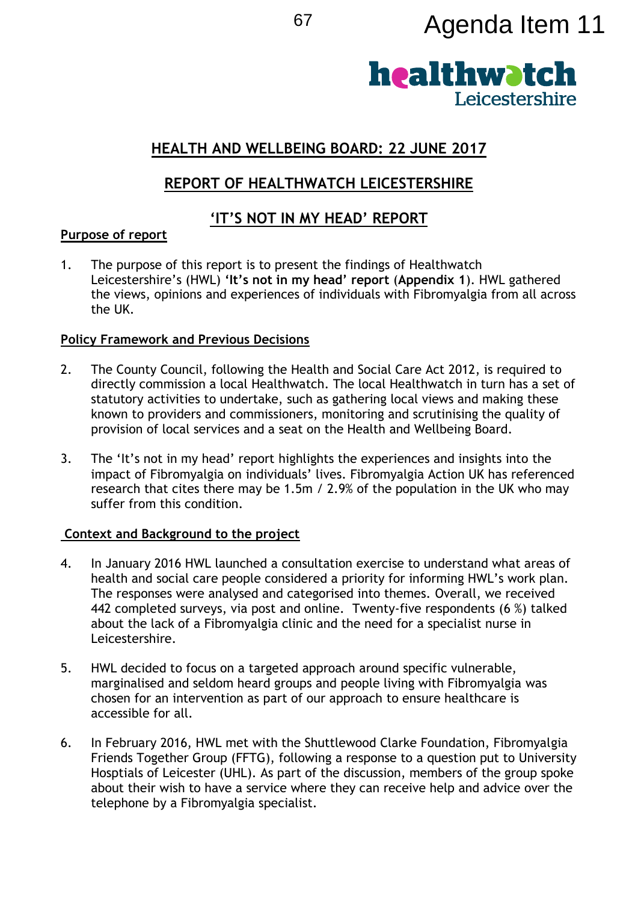# <sup>67</sup> Agenda Item 11



# **HEALTH AND WELLBEING BOARD: 22 JUNE 2017**

# **REPORT OF HEALTHWATCH LEICESTERSHIRE**

## **'IT'S NOT IN MY HEAD' REPORT**

## **Purpose of report**

1. The purpose of this report is to present the findings of Healthwatch Leicestershire's (HWL) **'It's not in my head' report** (**Appendix 1**). HWL gathered the views, opinions and experiences of individuals with Fibromyalgia from all across the UK.

## **Policy Framework and Previous Decisions**

- 2. The County Council, following the Health and Social Care Act 2012, is required to directly commission a local Healthwatch. The local Healthwatch in turn has a set of statutory activities to undertake, such as gathering local views and making these known to providers and commissioners, monitoring and scrutinising the quality of provision of local services and a seat on the Health and Wellbeing Board.
- 3. The 'It's not in my head' report highlights the experiences and insights into the impact of Fibromyalgia on individuals' lives. Fibromyalgia Action UK has referenced research that cites there may be 1.5m / 2.9% of the population in the UK who may suffer from this condition.

## **Context and Background to the project**

- 4. In January 2016 HWL launched a consultation exercise to understand what areas of health and social care people considered a priority for informing HWL's work plan. The responses were analysed and categorised into themes. Overall, we received 442 completed surveys, via post and online. Twenty-five respondents (6 %) talked about the lack of a Fibromyalgia clinic and the need for a specialist nurse in Leicestershire.
- 5. HWL decided to focus on a targeted approach around specific vulnerable, marginalised and seldom heard groups and people living with Fibromyalgia was chosen for an intervention as part of our approach to ensure healthcare is accessible for all.
- 6. In February 2016, HWL met with the Shuttlewood Clarke Foundation, Fibromyalgia Friends Together Group (FFTG), following a response to a question put to University Hosptials of Leicester (UHL). As part of the discussion, members of the group spoke about their wish to have a service where they can receive help and advice over the telephone by a Fibromyalgia specialist.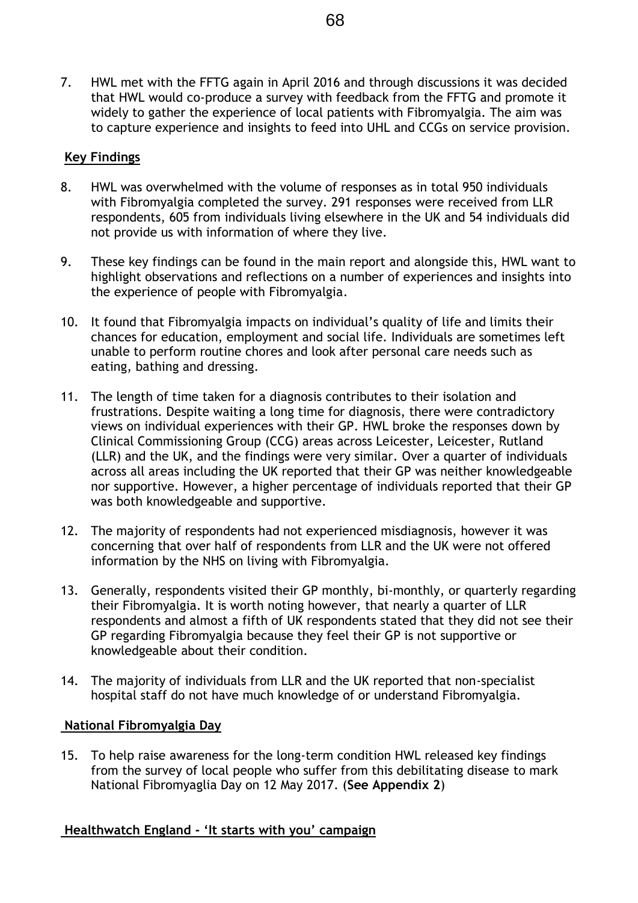7. HWL met with the FFTG again in April 2016 and through discussions it was decided that HWL would co-produce a survey with feedback from the FFTG and promote it widely to gather the experience of local patients with Fibromyalgia. The aim was to capture experience and insights to feed into UHL and CCGs on service provision.

### **Key Findings**

- 8. HWL was overwhelmed with the volume of responses as in total 950 individuals with Fibromyalgia completed the survey. 291 responses were received from LLR respondents, 605 from individuals living elsewhere in the UK and 54 individuals did not provide us with information of where they live.
- 9. These key findings can be found in the main report and alongside this, HWL want to highlight observations and reflections on a number of experiences and insights into the experience of people with Fibromyalgia.
- 10. It found that Fibromyalgia impacts on individual's quality of life and limits their chances for education, employment and social life. Individuals are sometimes left unable to perform routine chores and look after personal care needs such as eating, bathing and dressing.
- 11. The length of time taken for a diagnosis contributes to their isolation and frustrations. Despite waiting a long time for diagnosis, there were contradictory views on individual experiences with their GP. HWL broke the responses down by Clinical Commissioning Group (CCG) areas across Leicester, Leicester, Rutland (LLR) and the UK, and the findings were very similar. Over a quarter of individuals across all areas including the UK reported that their GP was neither knowledgeable nor supportive. However, a higher percentage of individuals reported that their GP was both knowledgeable and supportive.
- 12. The majority of respondents had not experienced misdiagnosis, however it was concerning that over half of respondents from LLR and the UK were not offered information by the NHS on living with Fibromyalgia.
- 13. Generally, respondents visited their GP monthly, bi-monthly, or quarterly regarding their Fibromyalgia. It is worth noting however, that nearly a quarter of LLR respondents and almost a fifth of UK respondents stated that they did not see their GP regarding Fibromyalgia because they feel their GP is not supportive or knowledgeable about their condition.
- 14. The majority of individuals from LLR and the UK reported that non-specialist hospital staff do not have much knowledge of or understand Fibromyalgia.

#### **National Fibromyalgia Day**

15. To help raise awareness for the long-term condition HWL released key findings from the survey of local people who suffer from this debilitating disease to mark National Fibromyaglia Day on 12 May 2017. (**See Appendix 2**)

## **Healthwatch England - 'It starts with you' campaign**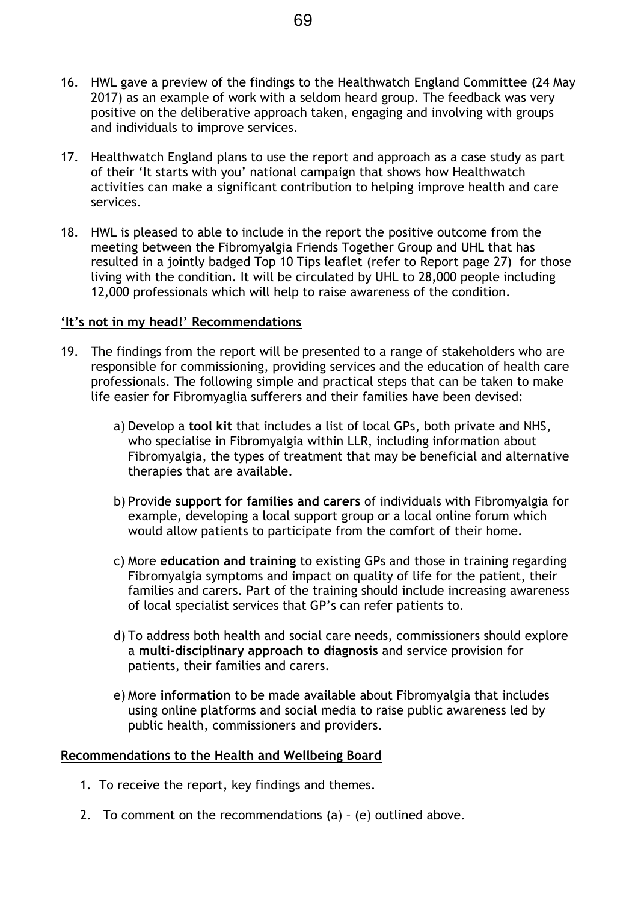- 16. HWL gave a preview of the findings to the Healthwatch England Committee (24 May 2017) as an example of work with a seldom heard group. The feedback was very positive on the deliberative approach taken, engaging and involving with groups and individuals to improve services.
- 17. Healthwatch England plans to use the report and approach as a case study as part of their 'It starts with you' national campaign that shows how Healthwatch activities can make a significant contribution to helping improve health and care services.
- 18. HWL is pleased to able to include in the report the positive outcome from the meeting between the Fibromyalgia Friends Together Group and UHL that has resulted in a jointly badged Top 10 Tips leaflet (refer to Report page 27) for those living with the condition. It will be circulated by UHL to 28,000 people including 12,000 professionals which will help to raise awareness of the condition.

#### **'It's not in my head!' Recommendations**

- 19. The findings from the report will be presented to a range of stakeholders who are responsible for commissioning, providing services and the education of health care professionals. The following simple and practical steps that can be taken to make life easier for Fibromyaglia sufferers and their families have been devised:
	- a) Develop a **tool kit** that includes a list of local GPs, both private and NHS, who specialise in Fibromyalgia within LLR, including information about Fibromyalgia, the types of treatment that may be beneficial and alternative therapies that are available.
	- b) Provide **support for families and carers** of individuals with Fibromyalgia for example, developing a local support group or a local online forum which would allow patients to participate from the comfort of their home.
	- c) More **education and training** to existing GPs and those in training regarding Fibromyalgia symptoms and impact on quality of life for the patient, their families and carers. Part of the training should include increasing awareness of local specialist services that GP's can refer patients to.
	- d) To address both health and social care needs, commissioners should explore a **multi-disciplinary approach to diagnosis** and service provision for patients, their families and carers.
	- e) More **information** to be made available about Fibromyalgia that includes using online platforms and social media to raise public awareness led by public health, commissioners and providers.

#### **Recommendations to the Health and Wellbeing Board**

- 1. To receive the report, key findings and themes.
- 2. To comment on the recommendations (a) (e) outlined above.